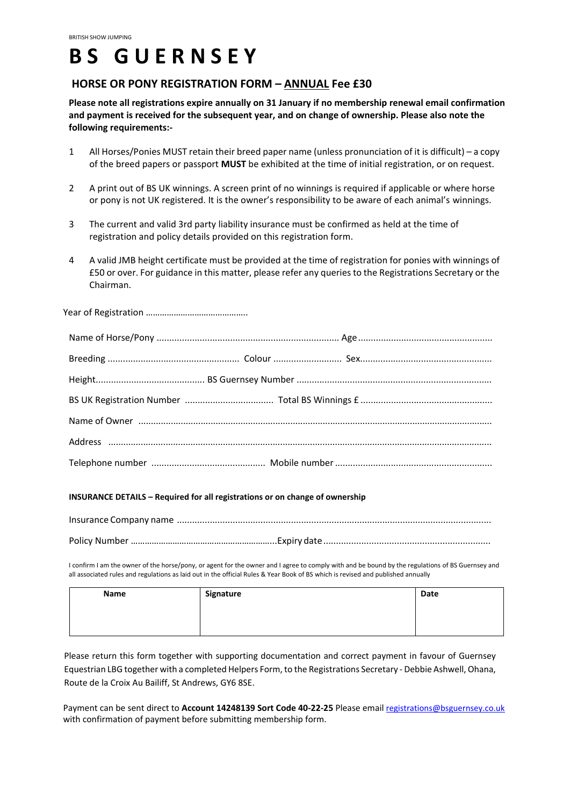# **B S G U E R N S E Y**

## **HORSE OR PONY REGISTRATION FORM – ANNUAL Fee £30**

**Please note all registrations expire annually on 31 January if no membership renewal email confirmation and payment is received for the subsequent year, and on change of ownership. Please also note the following requirements:-**

- 1 All Horses/Ponies MUST retain their breed paper name (unless pronunciation of it is difficult) a copy of the breed papers or passport **MUST** be exhibited at the time of initial registration, or on request.
- 2 A print out of BS UK winnings. A screen print of no winnings is required if applicable or where horse or pony is not UK registered. It is the owner's responsibility to be aware of each animal's winnings.
- 3 The current and valid 3rd party liability insurance must be confirmed as held at the time of registration and policy details provided on this registration form.
- 4 A valid JMB height certificate must be provided at the time of registration for ponies with winnings of £50 or over. For guidance in this matter, please refer any queries to the Registrations Secretary or the Chairman.

Year of Registration ……………………………………..

#### **INSURANCE DETAILS – Required for all registrations or on change of ownership**

I confirm I am the owner of the horse/pony, or agent for the owner and I agree to comply with and be bound by the regulations of BS Guernsey and all associated rules and regulations as laid out in the official Rules & Year Book of BS which is revised and published annually

| Name | Signature | Date |
|------|-----------|------|
|      |           |      |
|      |           |      |

Please return this form together with supporting documentation and correct payment in favour of Guernsey Equestrian LBG together with a completed Helpers Form, to the Registrations Secretary - Debbie Ashwell, Ohana, Route de la Croix Au Bailiff, St Andrews, GY6 8SE.

Payment can be sent direct to **Account 14248139 Sort Code 40-22-25** Please email registrations@bsguernsey.co.uk with confirmation of payment before submitting membership form.